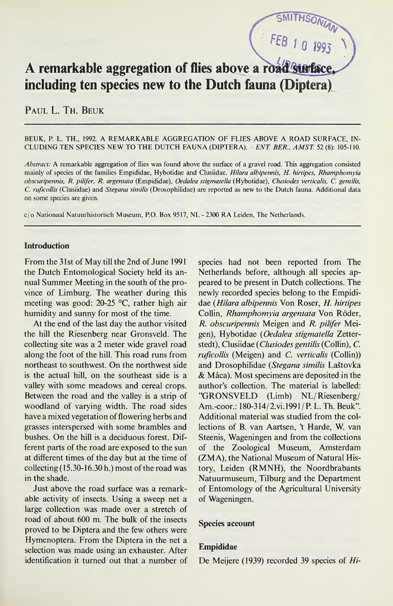# A remarkable aggregation of flies above a road surface including ten species new to the Dutch fauna (Diptera)

PAUL L. TH. BEUK

#### BEUK, P. L. TH., 1992. A REMARKABLE AGGREGATION OF FLIES ABOVE A ROAD SURFACE, IN¬ CLUDING TEN SPECIES NEW TO THE DUTCH FAUNA (DIPTERA). - ENT BER., AMST. <sup>52</sup> (8): 105-110.

Abstract: A remarkable aggregation of flies was found above the surface of a gravel road. This aggregation consisted mainly of species of the families Empididae, Hybotidae and Clusiidae. Hilara albipennis, H. hirtipes, Rhamphomyia obscuripennis, R. pilifer, R. argentata (Empididae), Oedalea stigmatella (Hybotidae), Clusiodes verticals, C. gentilis, C. ruficollis (Clusiidae) and Stegana similis (Drosophilidae) are reported as new to the Dutch fauna. Additional data on some species are given.

c/o Nationaal Natuurhistorisch Museum, PO. Box 9517, NL - 2300 RA Leiden, The Netherlands.

## Introduction

From the 31st of May till the 2nd of June 1991 the Dutch Entomological Society held its an nual Summer Meeting in the south of the province of Limburg. The weather during this meeting was good: 20-25 °C, rather high air humidity and sunny for most of the time.

At the end of the last day the author visited the hill the Riesenberg near Gronsveld. The collecting site was a 2 meter wide gravel road along the foot of the hill. This road runs from northeast to southwest. On the northwest side is the actual hill, on the southeast side is a valley with some meadows and cereal crops. Between the road and the valley is a strip of woodland of varying width. The road sides have a mixed vegetation of flowering herbs and grasses interspersed with some brambles and bushes. On the hill is a deciduous forest. Different parts of the road are exposed to the sun at different times of the day but at the time of collecting  $(15.30-16.30)$  h.) most of the road was in the shade.

Just above the road surface was a remarkable activity of insects. Using a sweep net a large collection was made over a stretch of road of about 600 m. The bulk of the insects proved to be Diptera and the few others were Hymenoptera. From the Diptera in the net a selection was made using an exhauster. After identification it turned out that a number of species had not been reported from The Netherlands before, although all species appeared to be present in Dutch collections. The newly recorded species belong to the Empididae (Hilara albipennis Von Roser, H. hirtipes Collin, Rhamphomyia argentata Von Röder, R. obscuripennis Meigen and R. pilifer Meigen), Hybotidae (Oedalea stigmatella Zetterstedt), Clusiidae (Clusiodes gentilis (Collin), C. ruficollis (Meigen) and C. verticalis (Collin)) and Drosophilidae (Stegana similis Laštovka & Mâca). Most specimens are deposited in the author's collection. The material is labelled: ''GRONSVELD (Limb) NL/Riesenberg/ Am.-coor.: 180-314/2.vi. 1991/R L.Th. Beuk". Additional material was studied from the collections of B. van Aartsen, 't Harde, W. van Steenis, Wageningen and from the collections of the Zoological Museum, Amsterdam (ZMA), the National Museum of Natural History, Leiden (RMNH), the Noordbrabants Natuurmuseum, Tilburg and the Department of Entomology of the Agricultural University of Wageningen.

FEB 1 0 1993

#### Species account

## Empididae

De Meijere (1939) recorded 39 species of Hi-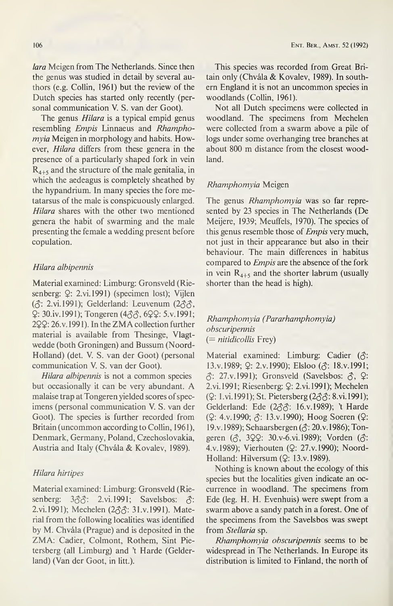lara Meigen from The Netherlands. Since then the genus was studied in detail by several authors (e.g. Collin, 1961) but the review of the Dutch species has started only recently (personal communication V. S. van der Goot).

The genus Hilara is a typical empid genus resembling Empis Linnaeus and Rhampho $mvia$  Meigen in morphology and habits. However, Hilara differs from these genera in the presence of a particularly shaped fork in vein  $R_{4+5}$  and the structure of the male genitalia, in which the aedeagus is completely sheathed by the hypandrium. In many species the fore metatarsus of the male is conspicuously enlarged. Hilara shares with the other two mentioned genera the habit of swarming and the male presenting the female a wedding present before copulation.

## Hilara albipennis

Material examined: Limburg: Gronsveld (Riesenberg:  $Q$ : 2.vi.1991) (specimen lost); Vijlen ( $\hat{\sigma}$ : 2.vi.1991); Gelderland: Leuvenum (2 $\hat{\sigma}\hat{\sigma}$ , 2: 30.iv. 1991); Tongeren (4\$\$, 622: 5.V.1991; 222:26.V. 1991). In the ZMA collection further material is available from Thesinge, Vlagtwedde (both Groningen) and Bussum (Noord-Holland) (det. V. S. van der Goot) (personal communication V. S. van der Goot).

Hilara albipennis is not a common species but occasionally it can be very abundant. A malaise trap at Tongeren yielded scores of specimens (personal communication V. S. van der Goot). The species is further recorded from Britain (uncommon according to Collin, 1961), Denmark, Germany, Poland, Czechoslovakia, Austria and Italy (Chvâla & Kovalev, 1989).

## Hilara hirtipes

Material examined: Limburg: Gronsveld (Riesenberg:  $3\textcircled{3}$ : 2.vi.1991; Savelsbos:  $\textcircled{3}$ : 2.vi. 1991); Mechelen (2 $\partial \mathcal{S}$ : 31.v. 1991). Material from the following localities was identified by M. Chvâla (Prague) and is deposited in the ZMA: Cadier, Colmont, Rothem, Sint Pietersberg (all Limburg) and 't Harde (Gelder land) (Van der Goot, in litt.).

This species was recorded from Great Britain only (Chvála & Kovalev, 1989). In southern England it is not an uncommon species in woodlands (Collin, 1961).

Not all Dutch specimens were collected in woodland. The specimens from Mechelen were collected from a swarm above a pile of logs under some overhanging tree branches at about 800 m distance from the closest woodland.

## Rhamphomyia Meigen

The genus Rhamphomyia was so far represented by 23 species in The Netherlands (De Meijere, 1939; Meuffels, 1970). The species of this genus resemble those of *Empis* very much, not just in their appearance but also in their behaviour. The main differences in habitus compared to *Empis* are the absence of the fork in vein  $R_{4+5}$  and the shorter labrum (usually shorter than the head is high).

# Rhamphomyia (Pararhamphomyia) obscuripennis  $(= niti di collis Frey)$

Material examined: Limburg: Cadier  $(\delta)$ : 13.v.1989; 2: 2.v.1990); Elsloo ( $\hat{\sigma}$ : 18.v.1991;  $\hat{\beta}$ : 27.v.1991); Gronsveld (Savelsbos:  $\hat{\beta}$ ,  $\hat{\gamma}$ : 2.vi. 1991; Riesenberg: Q: 2.vi. 1991); Mechelen (2: <sup>1</sup> .vi. 1991); St. Pietersberg(2\$\$\ 8.vi.l991); Gelderland: Ede (233: 16.v.1989); 't Harde (2: 4.V.1990; \$: 13.V.1990); Hoog Soeren (2: 19.v. 1989); Schaarsbergen ( $\Diamond$ : 20.v. 1986); Tongeren (5, 322: 30.v-6.vi.1989); Vorden (5: 4.V.1989); Vierhouten (2: 27.V.1990); Noord-Holland: Hilversum (Q: 13.v.1989).

Nothing is known about the ecology of this species but the localities given indicate an occurrence in woodland. The specimens from Ede (leg. H. H. Evenhuis) were swept from a swarm above a sandy patch in a forest. One of the specimens from the Savelsbos was swept from Stellaria sp.

Rhamphomyia obscuripennis seems to be widespread in The Netherlands. In Europe its distribution is limited to Finland, the north of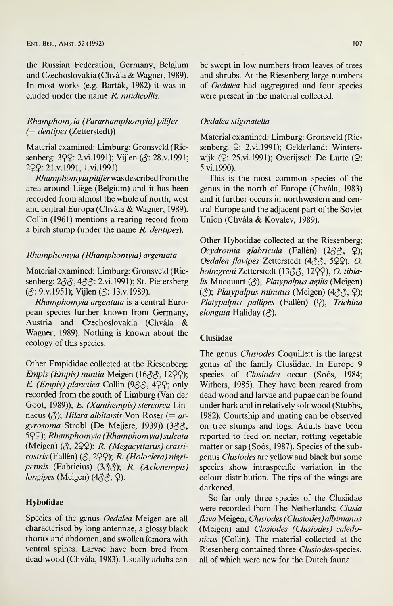the Russian Federation, Germany, Belgium and Czechoslovakia (Chvâla & Wagner, 1989). In most works (e.g. Bartâk, 1982) it was in cluded under the name R. nitidicollis.

## Rhamphomyia (Pararhamphomyia) pilifer (— dentipes (Zetterstedt))

Material examined: Limburg: Gronsveld (Riesenberg: 3QQ: 2.vi. 1991); Vijlen ( $\Diamond$ : 28.v. 1991; 222: 21 .y. 1991, l.vi.1991).

Rhamphomyiapiliferwas described fromthe area around Liège (Belgium) and it has been recorded from almost the whole of north, west and central Europa (Chvâla & Wagner, 1989). Collin (1961) mentions a rearing record from a birch stump (under the name R. dentipes).

## Rhamphomyia (Rhamphomyia) argentata

Material examined: Limburg: Gronsveld (Riesenberg: 233, 433: 2.vi.1991); St. Pietersberg ((5: 9.V.1951); Vijlen (\$: 13.V.1989).

Rhamphomyia argentata is a central European species further known from Germany, Austria and Czechoslovakia (Chvâla & Wagner, 1989). Nothing is known about the ecology of this species.

Other Empididae collected at the Riesenberg: Empis (Empis) nuntia Meigen (1655, 1222); E. (Empis) planetica Collin (933, 499; only recorded from the south of Limburg (Van der Goot, 1989)); E. (Xanthempis) stercorea Linnaeus ( $\Diamond$ ); Hilara albitarsis Von Roser (= argyrosoma Strobl (De Meijere, 1939)) (355, 5QQ); Rhamphomyia (Rhamphomyia) sulcata (Meigen) (5, 222); R- (Megacyttarus) crassirostris (Fallén) (5, 222); R- (Holoclera) nigripennis (Fabricius) (388); R. (Aclonempis) longipes (Meigen) (455, 2).

# Hybotidae

Species of the genus Oedalea Meigen are all characterised by long antennae, a glossy black thorax and abdomen, and swollen femora with ventral spines. Larvae have been bred from dead wood (Chvâla, 1983). Usually adults can

be swept in low numbers from leaves of trees and shrubs. At the Riesenberg large numbers of Oedalea had aggregated and four species were present in the material collected.

## Oedalea stigmatella

Material examined: Limburg: Gronsveld (Riesenberg:  $Q$ : 2.vi.1991); Gelderland: Winterswijk (2: 25.vi.1991); Overijssel: De Lutte (2: 5.vi.1990).

This is the most common species of the genus in the north of Europe (Chvâla, 1983) and it further occurs in northwestern and central Europe and the adjacent part of the Soviet Union (Chvâla & Kovalev, 1989).

Other Hybotidae collected at the Riesenberg: Ocydromia glabricula (Fallén) (255, 2); Oedalea flavipes Zetterstedt (4 $\delta$  $\delta$ , 5 $\Omega$ ), O. holmgreni Zetterstedt (13&&, 12QQ), O. tibialis Macquart  $(\delta)$ , Platypalpus agilis (Meigen)  $(3)$ ; Platypalpus minutus (Meigen)  $(433, 9)$ ; Platypalpus pallipes (Fallén) (Q), Trichina elongata Haliday (3).

## Clusiidae

The genus Clusiodes Coquillett is the largest genus of the family Clusiidae. In Europe 9 species of Clusiodes occur (Soós, 1984; Withers, 1985). They have been reared from dead wood and larvae and pupae can be found under bark and in relatively soft wood (Stubbs, 1982). Courtship and mating can be observed on tree stumps and logs. Adults have been reported to feed on nectar, rotting vegetable matter or sap (Soós, 1987). Species of the subgenus Clusiodes are yellow and black but some species show intraspecific variation in the colour distribution. The tips of the wings are darkened.

So far only three species of the Clusiidae were recorded from The Netherlands: Clusia flava Meigen, Clusiodes (Clusiodes) albimanus (Meigen) and Clusiodes (Clusiodes) caledonicus (Collin). The material collected at the Riesenberg contained three Clusiodes-species, all of which were new for the Dutch fauna.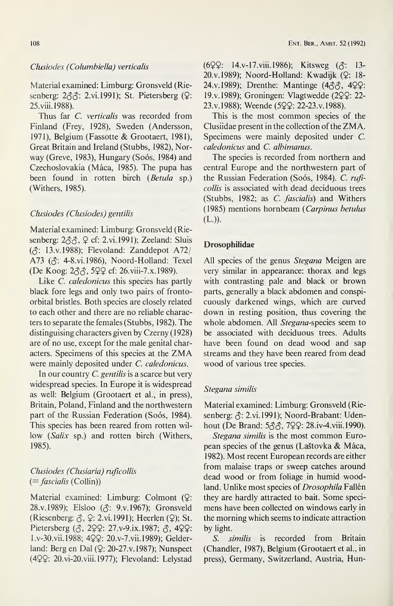#### Clusiodes (Columbiella) verticalis

Material examined: Limburg: Gronsveld (Riesenberg:  $2 \hat{\sigma} \hat{\sigma}$ : 2.vi. 1991); St. Pietersberg ( $\Omega$ : 25.viii.1988).

Thus far C. verticalis was recorded from Finland (Frey, 1928), Sweden (Andersson, 1971), Belgium (Fassotte & Grootaert, 1981), Great Britain and Ireland (Stubbs, 1982), Nor way (Greve, 1983), Hungary (Soós, 1984) and Czechoslovakia (Mâca, 1985). The pupa has been found in rotten birch (Betula sp.) (Withers, 1985).

# Clusiodes (Clusiodes) gentilis

Material examined: Limburg: Gronsveld (Riesenberg: 2\$\$, 2 cf: 2.vi. 1991); Zeeland: Sluis ((5: 13.V.1988); Flevoland: Zanddepot A72/ A73 ( $\triangle$ : 4-8.vi.1986), Noord-Holland: Texel (De Koog: <sup>2</sup>\$\$, 522 cf: 26.viii-7.x.l989).

Like *C. caledonicus* this species has partly black fore legs and only two pairs of frontoorbital bristles. Both species are closely related to each other and there are no reliable characters to separate the females (Stubbs, 1982). The distinguising characters given by Czerny (1928) are of no use, except for the male genital characters. Specimens of this species at the ZMA were mainly deposited under *C. caledonicus*.

In our country C. gentilis is a scarce but very widespread species. In Europe it is widespread as well: Belgium (Grootaert et al., in press), Britain, Poland, Finland and the northwestern part of the Russian Federation (Soós, 1984). This species has been reared from rotten willow (Salix sp.) and rotten birch (Withers, 1985).

# Clusiodes (Clusiaria) ruficollis  $( =$ *fascialis* (Collin))

Material examined: Limburg: Colmont (2: 28.V. 1989); Elsloo (\$: 9.V.1967); Gronsveld (Riesenberg:  $\hat{\gamma}$ ,  $\hat{\gamma}$ : 2.vi. 1991); Heerlen ( $\hat{\gamma}$ ); St. Pietersberg  $(3, 299: 27 \text{ v} - 9 \text{ i} \text{x}$ . 1987;  $(3, 499: 27 \text{ v} - 9 \text{ i} \text{x} - 1)$ Lv-30.vii.1988; 422: 20.v-7.vii.1989); Gelder land: Berg en Dal (2: 20-27.v. 1987); Nunspeet (422: 20.vi-20.viii. 1977); Flevoland: Lelystad (622: 14.v-17.viii.l986); Kitsweg (<\$: 13- 20.V.1989); Noord-Holland: Kwadijk (2: 18- 24.v.1989); Drenthe: Mantinge (433, 422: 19.V.1989); Groningen: Vlagtwedde (222: 22- 23.V.1988); Weende (522: 22-23.V.1988).

This is the most common species of the Clusiidae present in the collection of the ZMA. Specimens were mainly deposited under C. caledonicus and C. albimanus.

The species is recorded from northern and central Europe and the northwestern part of the Russian Federation (Soós, 1984). C. ruficollis is associated with dead deciduous trees (Stubbs, 1982; as C. fascialis) and Withers (1985) mentions hornbeam (Carpinus betulus (L.)).

#### Drosophilidae

All species of the genus Stegana Meigen are very similar in appearance: thorax and legs with contrasting pale and black or brown parts, generally a black abdomen and conspicuously darkened wings, which are curved down in resting position, thus covering the whole abdomen. All Stegana-species seem to be associated with deciduous trees. Adults have been found on dead wood and sap streams and they have been reared from dead wood of various tree species.

## Stegana similis

Material examined: Limburg: Gronsveld (Riesenberg:  $\hat{\triangle}$ : 2.vi.1991); Noord-Brabant: Udenhout (De Brand: 533, 799: 28.iv-4.viii.1990).

Stegana similis is the most common European species of the genus (Lastovka & Mâca, 1982). Most recent European records are either from malaise traps or sweep catches around dead wood or from foliage in humid woodland. Unlike most species of Drosophila Fallén they are hardly attracted to bait. Some specimens have been collected on windows early in the morning which seems to indicate attraction by light.

S. similis is recorded from Britain (Chandler, 1987), Belgium (Grootaert et al., in press), Germany, Switzerland, Austria, Hun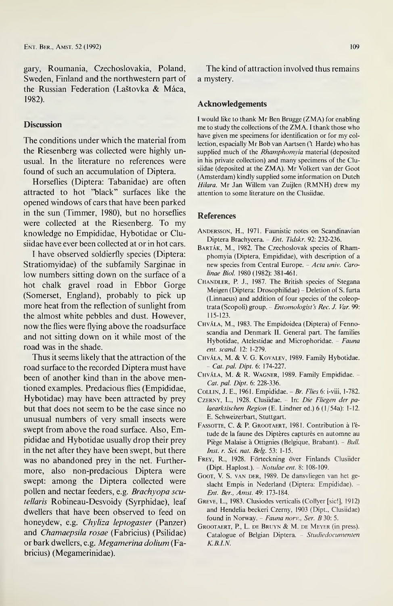gary, Roumania, Czechoslovakia, Poland, Sweden, Finland and the northwestern part of the Russian Federation (Lastovka & Mâca, 1982).

# **Discussion**

The conditions under which the material from the Riesenberg was collected were highly unusual. In the literature no references were found of such an accumulation of Diptera.

Horseflies (Diptera: Tabanidae) are often attracted to hot "black" surfaces like the opened windows of cars that have been parked in the sun (Timmer, 1980), but no horseflies were collected at the Riesenberg. To my knowledge no Empididae, Hybotidae or Clusiidae have ever been collected at or in hot cars.

<sup>I</sup> have observed soldierfly species (Diptera: Stratiomyidae) of the subfamily Sarginae in low numbers sitting down on the surface of a hot chalk gravel road in Ebbor Gorge (Somerset, England), probably to pick up more heat from the reflection of sunlight from the almost white pebbles and dust. However, now the flies were flying above the roadsurface and not sitting down on it while most of the road was in the shade.

Thus it seems likely that the attraction of the road surface to the recorded Diptera must have been of another kind than in the above mentioned examples. Predacious flies (Empididae, Hybotidae) may have been attracted by prey but that does not seem to be the case since no unusual numbers of very small insects were swept from above the road surface. Also, Empididae and Hybotidae usually drop their prey in the net after they have been swept, but there was no abandoned prey in the net. Furthermore, also non-predacious Diptera were swept: among the Diptera collected were pollen and nectar feeders, e.g. Brachyopa scutellaris Robineau-Desvoidy (Syrphidae), leaf dwellers that have been observed to feed on honeydew, e.g. Chyliza leptogaster (Panzer) and Chamaepsila rosae (Fabricius) (Psilidae) or bark dwellers, e.g. Megamerina dolium (Fabricius) (Megamerinidae).

The kind of attraction involved thus remains a mystery.

#### Acknowledgements

I would like to thank Mr Ben Brugge (ZMA) for enabling me to study the collections of the ZMA. I thank those who have given me specimens for identification or for my collection, espacially Mr Bob van Aartsen ('t Harde) who has supplied much of the Rhamphomyia material (deposited in his private collection) and many specimens of the Clusiidae (deposited at the ZMA). Mr Volkert van der Goot (Amsterdam) kindly supplied some information on Dutch Hilara. Mr Jan Willem van Zuijlen (RMNH) drew my attention to some literature on the Clusiidae.

#### References

- ANDERSSON, H., 1971. Faunistic notes on Scandinavian Diptera Brachycera. - Ent. Tidskr. 92: 232-236.
- BARTÁK, M., 1982. The Czechoslovak species of Rhamphomyia (Diptera, Empididae), with description of a new species from Central Europe. - Acta univ. Carolinae Biol. 1980 (1982): 381-461.
- CHANDLER, P. J., 1987. The British species of Stegana Meigen (Diptera: Drosophilidae) - Deletion of S. furta (Linnaeus) and addition of four species of the coleoptrata (Scopoli) group. - Entomologist's Rec. J. Var. 99: 115-123.
- Chvâla, M., 1983. The Empidoidea (Diptera) of Fennoscandia and Denmark II. General part. The families Hybotidae, Atelestidae and Microphoridae. - Fauna ent. scand. 12: 1-279.
- Chvâla, M. & V. G. Kovalev, 1989. Family Hybotidae. - Cat. pal. Dipt. 6: 174-227.
- CHVÁLA, M. & R. WAGNER, 1989. Family Empididae. -Cat. pal. Dipt. 6: 228-336.
- Collin, J. E., 1961. Empididae. Br. Flies 6: i-viii, 1-782.
- CZERNY, L., 1928. Clusiidae. In: Die Fliegen der palaearktischen Region (E. Lindner ed.) 6 (1/54a): 1-12. E. Schweizerbart, Stuttgart.
- FASSOTTE, C. & P. GROOTAERT, 1981. Contribution à l'étude de la faune des Diptères capturés en automne au Piège Malaise à Ottignies (Belgique, Brabant). - Bull. Inst. r. Sei. nat. Belg. 53: 1-15.
- FREY, R., 1928. Förteckning över Finlands Clusiider (Dipt. Haplost.). - Notulae ent. 8: 108-109.
- GOOT, V. S. van DER, 1989. De dansvliegen van het geslacht Empis in Nederland (Diptera: Empididae). Ent. Ber., Amst. 49: 173-184.
- Greve, L., 1983. Clusiodes verticalis (Collyer [sic!], 1912) and Hendelia beckeri Czerny, 1903 (Dipt., Clusiidae) found in Norway. - Fauna norv., Ser. B 30: 5.
- Grootaert, R, L. de Bruyn & M. de Meyer (in press). Catalogue of Belgian Diptera. - Studiedocumenten K.B.I.N.